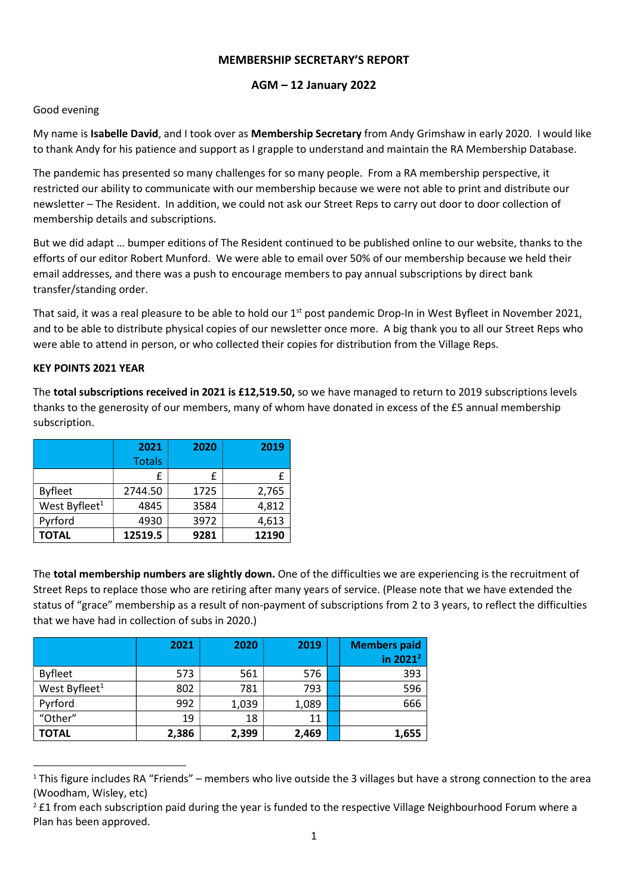## MEMBERSHIP SECRETARY'S REPORT

# AGM – 12 January 2022

## Good evening

My name is Isabelle David, and I took over as Membership Secretary from Andy Grimshaw in early 2020. I would like to thank Andy for his patience and support as I grapple to understand and maintain the RA Membership Database.

The pandemic has presented so many challenges for so many people. From a RA membership perspective, it restricted our ability to communicate with our membership because we were not able to print and distribute our newsletter – The Resident. In addition, we could not ask our Street Reps to carry out door to door collection of membership details and subscriptions.

But we did adapt … bumper editions of The Resident continued to be published online to our website, thanks to the efforts of our editor Robert Munford. We were able to email over 50% of our membership because we held their email addresses, and there was a push to encourage members to pay annual subscriptions by direct bank transfer/standing order.

That said, it was a real pleasure to be able to hold our 1<sup>st</sup> post pandemic Drop-In in West Byfleet in November 2021, and to be able to distribute physical copies of our newsletter once more. A big thank you to all our Street Reps who were able to attend in person, or who collected their copies for distribution from the Village Reps.

### KEY POINTS 2021 YEAR

The total subscriptions received in 2021 is £12,519.50, so we have managed to return to 2019 subscriptions levels thanks to the generosity of our members, many of whom have donated in excess of the £5 annual membership subscription.

|                           | 2021<br>2020  |      | 2019  |
|---------------------------|---------------|------|-------|
|                           | <b>Totals</b> |      |       |
|                           | £             | £    | f     |
| <b>Byfleet</b>            | 2744.50       | 1725 | 2,765 |
| West Byfleet <sup>1</sup> | 4845          | 3584 | 4,812 |
| Pyrford                   | 4930          | 3972 | 4,613 |
| <b>TOTAL</b>              | 12519.5       | 9281 | 12190 |

The total membership numbers are slightly down. One of the difficulties we are experiencing is the recruitment of Street Reps to replace those who are retiring after many years of service. (Please note that we have extended the status of "grace" membership as a result of non-payment of subscriptions from 2 to 3 years, to reflect the difficulties that we have had in collection of subs in 2020.)

|                           | 2021  | 2020  | 2019  | <b>Members paid</b><br>in 2021 <sup>2</sup> |
|---------------------------|-------|-------|-------|---------------------------------------------|
| <b>Byfleet</b>            | 573   | 561   | 576   | 393                                         |
| West Byfleet <sup>1</sup> | 802   | 781   | 793   | 596                                         |
| Pyrford                   | 992   | 1,039 | 1,089 | 666                                         |
| "Other"                   | 19    | 18    | 11    |                                             |
| <b>TOTAL</b>              | 2,386 | 2,399 | 2,469 | 1,655                                       |

 $1$  This figure includes RA "Friends" – members who live outside the 3 villages but have a strong connection to the area (Woodham, Wisley, etc)

 $2$  £1 from each subscription paid during the year is funded to the respective Village Neighbourhood Forum where a Plan has been approved.